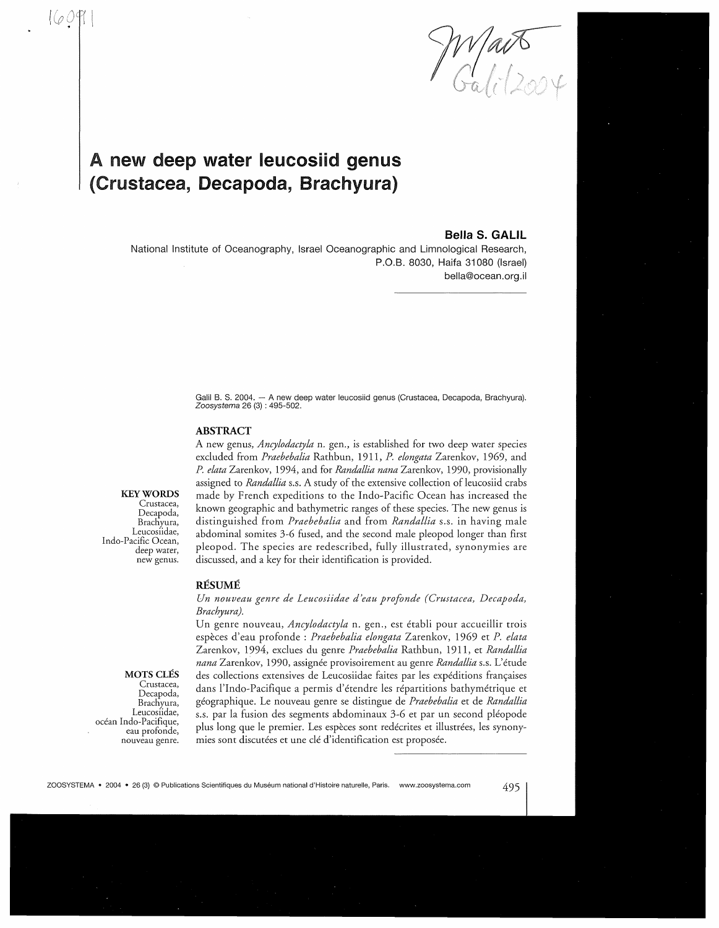

# A new deep water leucosiid genus (Crustacea, Decapoda, Brachyura)

# Bella S. GALIL

National Institute of Oceanography, Israel Oceanographic and Limnological Research, P.O.B. 8030, Haifa 31080 (Israel) [bella@ocean.org.il](mailto:bella@ocean.org.il) 

> Galil B. S. 2004. — A new deep water leucosiid genus (Crustacea, Decapoda, Brachyura). Zoosystema 26 (3): 495-502.

#### **ABSTRACT**

A new genus, *Ancylodactyla* n. gen., is established for two deep water species excluded from *Praebebalia* Rathbun, 1911, *P. elongata* Zarenkov, 1969, and *P. elata* Zarenkov, 1994, and for *Randallia nana* Zarenkov, 1990, provisionally assigned to *Randallia* s.s. A study of the extensive collection of leucosiid crabs made by French expeditions to the Indo-Pacific Ocean has increased the known geographic and bathymetric ranges of these species. The new genus is distinguished from *Praebebalia* and from *Randallia* s.s. in having male abdominal somites 3-6 fused, and the second male pleopod longer than first pleopod. The species are redescribed, fully illustrated, synonymies are discussed, and a key for their identification is provided.

# **RESUME**

## *Un nouveau genre de Leucosiidae d'eau profonde (Crustacea, Decapoda, Brachyura).*

Un genre nouveau, *Ancylodactyla* n. gen., est etabli pour accueillir trois especes d'eau profonde : *Praebebalia elongata* Zarenkov, 1969 et *P. elata*  Zarenkov, 1994, exclues du genre *Praebebalia* Rathbun, 1911, et *Randallia nana* Zarenkov, 1990, assignée provisoirement au genre Randallia s.s. L'étude des collections extensives de Leucosiidae faites par les expeditions francaises dans l'lndo-Pacifique a permis d'etendre les repartitions bathymetrique et geographique. Le nouveau genre se distingue de *Praebebalia* et de *Randallia*  s.s. par la fusion des segments abdominaux 3-6 et par un second pléopode plus long que le premier. Les espèces sont redécrites et illustrées, les synonymies sont discutées et une clé d'identification est proposée.

**KEYWORDS**  Crustacea,

Decapoda, Brachyura, Leucosiidae, Indo-Pacific Ocean, deep water, new genus.

**MOTS CLES**  Crustacea, Decapoda, Brachyura, Leucosiidae, ocean Indo-Pacifique, eau profonde, nouveau genre.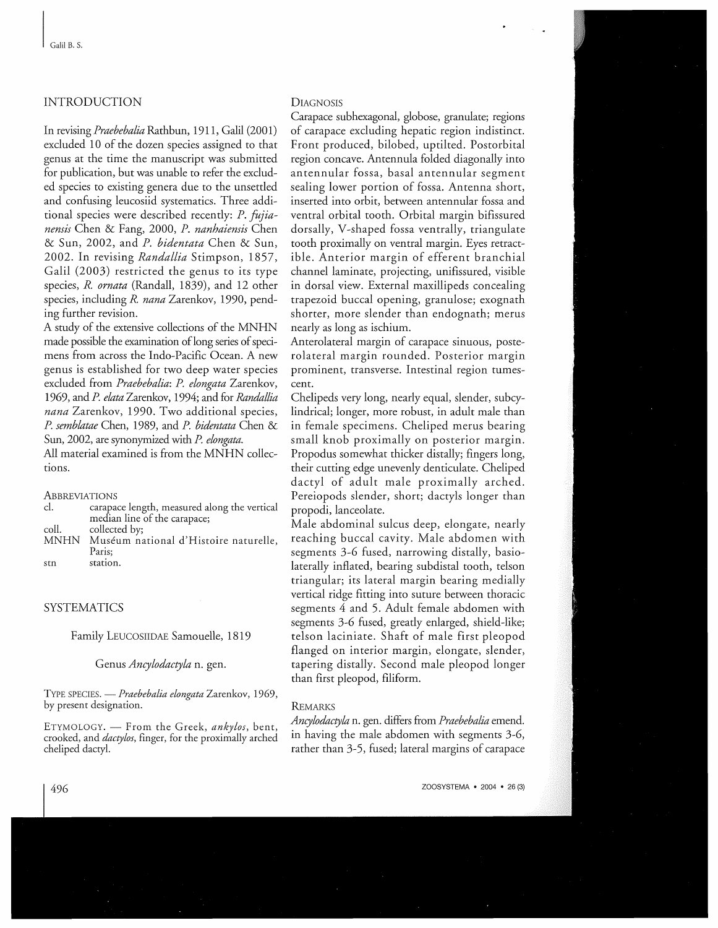# INTRODUCTION

In revising *Praebebalia* Rathbun, 1911, Galil (2001) excluded 10 of the dozen species assigned to that genus at the time the manuscript was submitted for publication, but was unable to refer the excluded species to existing genera due to the unsettled and confusing leucosiid systematics. Three additional species were described recently: *P. fujianensis* Chen & Fang, 2000, *P. nanhaiensis* Chen & Sun, 2002, and *P. bidentata* Chen & Sun, 2002. In revising *Randallia* Stimpson, 1857, Galil (2003) restricted the genus to its type species, *R. ornata* (Randall, 1839), and 12 other species, including *R. nana* Zarenkov, 1990, pending further revision.

A study of the extensive collections of the MNHN made possible the examination of long series of specimens from across the Indo-Pacific Ocean. A new genus is established for two deep water species excluded from *Praebebalia: P. elongata* Zarenkov, 1969, and *P. elata* Zarenkov, 1994; and for *Randallia nana* Zarenkov, 1990. Two additional species, *P. semblatae* Chen, 1989, and *P. bidentata* Chen & Sun, 2002, are synonymized with *P. elongata.* 

All material examined is from the MNHN collections.

**ABBREVIATIONS** 

| cl.   | carapace length, measured along the vertical |
|-------|----------------------------------------------|
|       | median line of the carapace;                 |
| coll. | collected by;                                |
|       | MNHN Muséum national d'Histoire naturelle,   |
|       | Paris:                                       |

stn station.

# **SYSTEMATICS**

Family LEUCOSIIDAE Samouelle, 1819

## Genus *Ancylodactyla* n. gen.

TYPE SPECIES. — *Praebebalia elongata* Zarenkov, 1969, by present designation.

ETYMOLOGY. — From the Greek, *ankylos,* bent, crooked, and *dactylos,* finger, for the proximally arched cheiiped dactyl.

# **DIAGNOSIS**

Carapace subhexagonal, globose, granulate; regions of carapace excluding hepatic region indistinct. Front produced, bilobed, uptilted. Postorbital region concave. Antennula folded diagonally into antennular fossa, basal antennular segment sealing lower portion of fossa. Antenna short, inserted into orbit, between antennular fossa and ventral orbital tooth. Orbital margin bifissured dorsally, V-shaped fossa ventrally, triangulate tooth proximally on ventral margin. Eyes retractible. Anterior margin of efferent branchial channel laminate, projecting, unifissured, visible in dorsal view. External maxillipeds concealing trapezoid buccal opening, granulose; exognath shorter, more slender than endognath; merus nearly as long as ischium.

Anterolateral margin of carapace sinuous, posterolateral margin rounded. Posterior margin prominent, transverse. Intestinal region tumescent.

Chelipeds very long, nearly equal, slender, subcylindrical; longer, more robust, in adult male than in female specimens. Cheiiped merus bearing small knob proximally on posterior margin. Propodus somewhat thicker distally; fingers long, their cutting edge unevenly denticulate. Cheiiped dactyl of adult male proximally arched. Pereiopods slender, short; dactyls longer than propodi, lanceolate.

Male abdominal sulcus deep, elongate, nearly reaching buccal cavity. Male abdomen with segments 3-6 fused, narrowing distally, basiolaterally inflated, bearing subdistal tooth, telson triangular; its lateral margin bearing medially vertical ridge fitting into suture between thoracic segments 4 and 5. Adult female abdomen with segments 3-6 fused, greatly enlarged, shield-like; telson laciniate. Shaft of male first pleopod flanged on interior margin, elongate, slender, tapering distally. Second male pleopod longer than first pleopod, filiform.

## REMARKS

*Ancylodactyla* n. gen. differs from *Praebebalia* emend, in having the male abdomen with segments 3-6, rather than 3-5, fused; lateral margins of carapace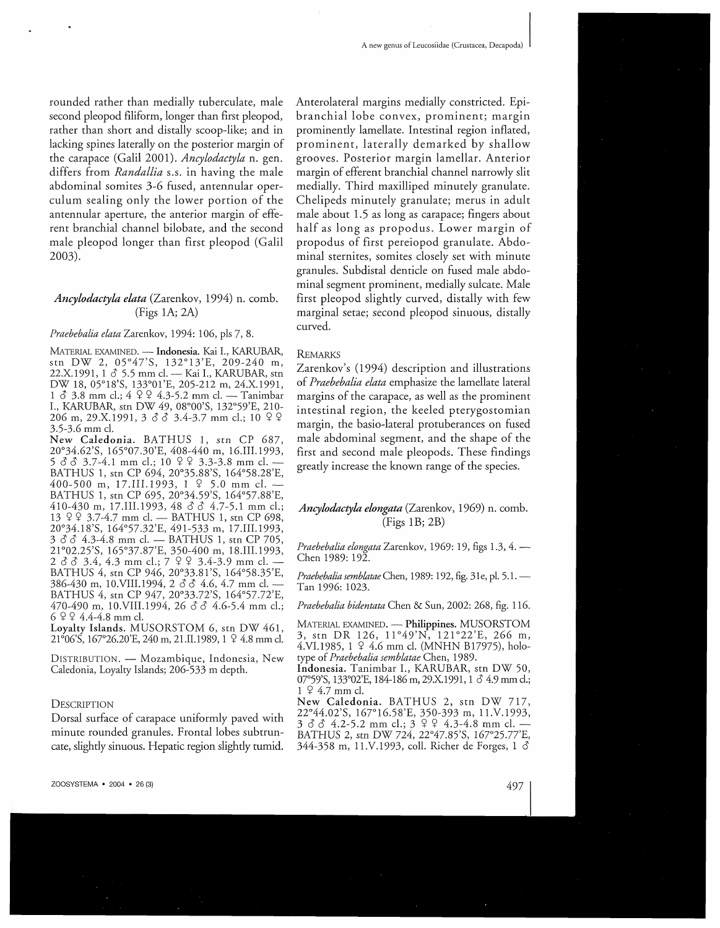rounded rather than medially tuberculate, male second pleopod filiform, longer than first pleopod, rather than short and distally scoop-like; and in lacking spines laterally on the posterior margin of the carapace (Galil 2001). *Ancylodactyla* n. gen. differs from *Randallia* s.s. in having the male abdominal somites 3-6 fused, antennular operculum sealing only the lower portion of the antennular aperture, the anterior margin of efferent branchial channel bilobate, and the second male pleopod longer than first pleopod (Galil 2003).

# *Ancylodactyla elata* (Zarenkov, 1994) n. comb. (Figs 1A; 2A)

#### *Praebebalia elata* Zarenkov, 1994: 106, pis 7, 8.

MATERIAL EXAMINED. — Indonesia. Kai I., KARUBAR, stn DW 2, 05°47'S, 132°13'E, 209-240 m, 22X1991, 1 *8* 5.5 mm cl. — Kai I., KARUBAR, stn DW 18, 05°18'S, 133°01'E, 205-212 m, 24.X.1991, 1 *8* 3.8 mm cl.; 4 9 9 4.3-5.2 mm cl. — Tanimbar I., KARUBAR, stn DW 49, 08°00'S, 132°59'E, 210- 206 m, 29.X.1991, 3  $\delta$   $\delta$  3.4-3.7 mm cl.; 10  $\Omega$ 3.5-3.6 mm cl.

New Caledonia. BATHUS 1, stn CP 687, 20°34.62'S, 165°07.30'E, 408-440 m, 16.111.1993, 5 *3 6* 3.7-4.1 mm cl; 10 \$ \$ 3.3-3.8 mm cl. — BATHUS 1, stn CP 694, 20°35.88'S, 164°58.28'E, 400-500 m, 17.III.1993, 1  $\frac{9}{7}$  5.0 mm cl. -BATHUS 1, stn CP 695, 20°34.59'S, 164°57.88'E, 410-430 m, 17.III.1993, 48 *8 8* 4.7-5.1 mm cl; 13 \$ \$ 3.7-4.7 mm cl. — BATHUS 1, stn CP 698, 20°34.18'S, 164°57.32'E, 491-533 m, 17.111.1993, 3 *8 8* 4.3-4.8 mm cl. — BATHUS 1, stn CP 705, 21°02.25'S, 165°37.87'E, 350-400 m, 18.111.1993, 2 *8 8* 3.4, 4.3 mm cl.; 7 º º 3.4-3.9 mm cl. — BATHUS 4, stn CP 946, 20°33.81'S, 164°58.35'E, 386-430 m, 10.VIII.1994, 2 *8 8 4.6,* 4.7 mm cl. — BATHUS 4, stn CP 947, 20°33.72'S, 164°57.72'E, 470-490 m, 10.VIII.1994, 26 *8 8* 4.6-5.4 mm cl.;  $6$   $9$   $9$   $4.4$ -4.8 mm cl.

Loyalty Islands. MUSORSTOM 6, stn DW 461, 2P06'S, 167°26.20'E, 240 m, 21.11.1989,1 9 4.8 mm cl.

DISTRIBUTION. — Mozambique, Indonesia, New Caledonia, Loyalty Islands; 206-533 m depth.

#### **DESCRIPTION**

Dorsal surface of carapace uniformly paved with minute rounded granules. Frontal lobes subtruncate, slighdy sinuous. Hepatic region slightly tumid. Anterolateral margins medially constricted. Epibranchial lobe convex, prominent; margin prominently lamellate. Intestinal region inflated, prominent, laterally demarked by shallow grooves. Posterior margin lamellar. Anterior margin of efferent branchial channel narrowly slit medially. Third maxilliped minutely granulate. Chelipeds minutely granulate; merus in adult male about 1.5 as long as carapace; fingers about half as long as propodus. Lower margin of propodus of first pereiopod granulate. Abdominal sternites, somites closely set with minute granules. Subdistal denticle on fused male abdominal segment prominent, medially sulcate. Male first pleopod slightly curved, distally with few marginal setae; second pleopod sinuous, distally curved.

## REMARKS

Zarenkov's (1994) description and illustrations of *Praebebalia elata* emphasize the lamellate lateral margins of the carapace, as well as the prominent intestinal region, the keeled pterygostomian margin, the basio-lateral protuberances on fused male abdominal segment, and the shape of the first and second male pleopods. These findings greatly increase the known range of the species.

## *Ancylodactyla elongata* (Zarenkov, 1969) n. comb. (Figs IB; 2B)

*Praebebalia elongata* Zarenkov, 1969: 19, figs 1.3, 4. — Chen 1989: 192.

*Praebebalia semblatae* Chen, 1989: 192, fig. 31e, pi. 5.1. — Tan 1996: 1023.

*Praebebalia bidentata* Chen & Sun, 2002: 268, fig. 116.

MATERIAL EXAMINED. — Philippines. MUSORSTOM 3, stn DR 126, 11°49'N, 121°22'E, 266 m, 4.VI.1985,  $1 \nsubseteq 4.6$  mm cl. (MNHN B17975), holotype of *Praebebalia semblatae* Chen, 1989.

Indonesia. Tanimbar I., KARUBAR, stn DW 50, 07°59'S, 133°02'E, 184-186 m, 29X1991,1 *8* 4.9 mm cl;  $1 \,$   $\frac{9}{4.7}$  mm cl.

New Caledonia. BATHUS 2, stn DW 717, 22°44.02'S, 167°16.58'E, 350-393 m, 11.V.1993, 3  $3$   $3$   $3$   $4.2$ -5.2 mm cl.; 3  $9$   $9$   $4.3$ -4.8 mm cl. -BATHUS 2, stn DW 724, 22°47.85'S, 167°25.77'E, 344-358 m, 11.V.1993, coll. Richer de Forges, 1 *8*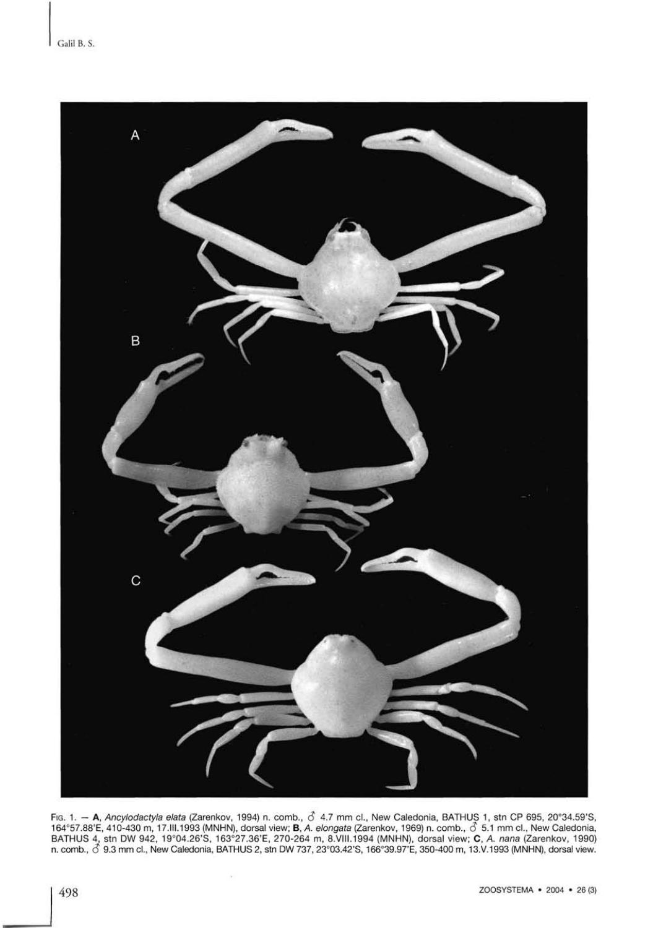

Fig. 1. — **A**, *Ancylodactyla elata (*Zarenkov, 1994) n. comb., ♂ 4.7 mm cl., New Caledonia, BATHUS 1, stn CP 695, 20°34.59'S,<br>164°57.88'E, 410-430 m, 17.III.1993 (MNHN), dorsal view; **B**, *A. elongata (Za*renkov, 1969)

 $\overline{a}$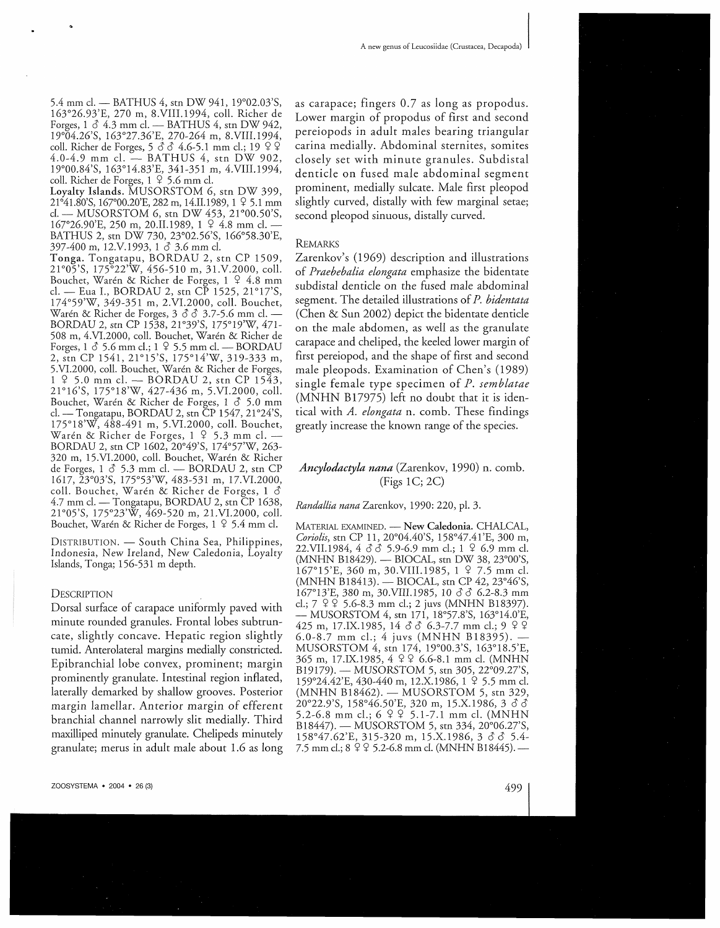5.4 mm cl. — BATHUS 4, stn DW 941, 19°02.03'S, 163°26.93'E, 270 m, 8.VIII.1994, coll. Richer de Forges, 1 *S* 4.3 mm cl. — BATHUS 4, stn DW 942, 19°04.26'S, 163°27.36'E, 270-264 m, 8.VIII.1994, coll. Richer de Forges, 5  $\delta$   $\delta$  4.6-5.1 mm cl.; 19  $9$   $9$ 4.0-4.9 mm cl. — BATHUS 4, stn DW 902, 19°00.84'S, 163°14.83'E, 341-351 m, 4.VIII.1994, coll. Richer de Forges, 1 9 5.6 mm cl.

Loyalty Islands. MUSORSTOM 6, stn DW 399, 21°41.80'S, 167°00.20'E, 282 m, 14.11.1989,1 9 5.1 mm cl. — MUSORSTOM 6, stn DW 453, 21°00.50'S, 167°26.90'E, 250 m, 20.11.1989, 1 9 4.8 mm cl. — BATHUS 2, stn DW 730, 23°02.56'S, 166°58.30'E, 397-400 m, 12.V.1993, 1 *S* 3.6 mm cl.

Tonga. Tongatapu, BORDAU 2, stn CP 1509, 21°05'S, 175°22'W, 456-510 m, 31.V.2000, coll. Bouchet, Warén & Richer de Forges, 1 º 4.8 mm cl. — Eua I., BORDAU 2, stn CP 1525, 21°17'S, 174°59'W, 349-351 m, 2.VI.2000, coll. Bouchet, Warén & Richer de Forges, 3  $\delta$   $\delta$  3.7-5.6 mm cl. — BORDAU 2, stn CP 1538, 21°39'S, 175°19'W, 471- 508 m, 4.VI.2000, coll. Bouchet, Waren & Richer de Forges,  $1 \delta$  5.6 mm cl.;  $1 \Omega$  5.5 mm cl. — BORDAU 2, stn CP 1541, 21°15'S, 175°14'W, 319-333 m, 5.VI.2000, coll. Bouchet, Waren & Richer de Forges, 1 9 5.0 mm cl. — BORDAU 2, stn CP 1543, 21°16'S, 175°18'W, 427-436 m, 5.VI.2000, coll. Bouchet, Warén & Richer de Forges,  $1 \delta$  5.0 mm cl. — Tongatapu, BORDAU 2, stn CP 1547, 21°24'S, 175°18'W, 488-491 m, 5.VI.2000, coll. Bouchet, Warén & Richer de Forges,  $1 \nvert 9$  5.3 mm cl. BORDAU 2, stn CP 1602, 20°49'S, 174°57'W, 263- 320 m, 15.VI.2000, coll. Bouchet, Waren & Richer de Forges, 1 *S* 5.3 mm cl. — BORDAU 2, stn CP 16 F01ges, 1 0 *5.5* min cl. — DONDAO 2, stil Cr<br>1617–23°03'S, 175°53'W, 483-531 m, 17.VI.2000, coll. Bouchet, Waren & Richer de Forges, 1 *S*  coll. Bouchet, Warén & Richer de Forges, 1 &<br>4.7 mm cl. — Tongatapu, BORDAU 2, stn CP 1638, 4./ min ci. — Tongatapu, DOKDAO 2, stil CP 1096,<br>21º05'S, 175º23'W, 460-520 m, 21.VI.2000, coll. 21 U) 5, 1/) 25 W, 409-320 M, 21. V1. 2000, COII.<br>Bouchet, Warén 87 Dishon de Forges, 1 0 5.4 mm cl.

DISTRIBUTION. — South China Sea, Philippines, Indonesia, New Ireland, New Caledonia, Loyalty Islands, Tonga; 156-531 m depth.

# **DESCRIPTION**

Dorsal surface of carapace uniformly paved with minute rounded granules. Frontal lobes subtruncate, slightly concave. Hepatic region slightly tumid. Anterolateral margins medially constricted. Epibranchial lobe convex, prominent; margin prominently granulate. Intestinal region inflated, laterally demarked by shallow grooves. Posterior margin lamellar. Anterior margin of efferent branchial channel narrowly slit medially. Third maxilliped minutely granulate. Chelipeds minutely granulate; merus in adult male about 1.6 as long as carapace; fingers 0.7 as long as propodus. Lower margin of propodus of first and second pereiopods in adult males bearing triangular carina medially. Abdominal sternites, somites closely set with minute granules. Subdistal denticle on fused male abdominal segment prominent, medially sulcate. Male first pleopod slightly curved, distally with few marginal setae; second pleopod sinuous, distally curved.

# **REMARKS**

Zarenkov's (1969) description and illustrations of *Praebebalia elongata* emphasize the bidentate subdistal denticle on the fused male abdominal segment. The detailed illustrations of P. *bidentata*  (Chen & Sun 2002) depict the bidentate denticle on the male abdomen, as well as the granulate carapace and cheliped, the keeled lower margin of first pereiopod, and the shape of first and second male pleopods. Examination of Chen's (1989) single female type specimen of P. *semblatae*   $(MNHN B17975)$  left no doubt that it is identical with *A. elongata* n. comb. These findings greatly increase the known range of the species.

# *Ancylodactyla nana* (Zarenkov, 1990) n. comb. (Figs 1C; 2C)

*Randallia nana* Zarenkov, 1990: 220, pi. 3.

MATERIAL EXAMINED. — New Caledonia. CHALCAL, *Coriolis,* stn CP 11, 20°04.40'S, 158°47.4l'E, 300 m, 22.VII.1984, *4 SS* 5.9-6.9 mm cl; 1 9 6.9 mm cl. (MNHN B18429). — BIOCAL, stn DW 38, 23°00'S, 167°15'E, 360 m, 30.VIII.1985, 1 9 7.5 mm cl. (MNHN B18413). — BIOCAL, stn CP 42, 23°46'S, 167°13'E, 380 m, 30.VIII.1985, 10  $\delta$   $\delta$  6.2-8.3 mm cl.; 7 9 9 5.6-8.3 mm cl; 2 juvs (MNHN B18397). — MUSORSTOM 4, stn 171, 18°57.8'S, 163°14.0'E, 425 m, 17.IX.1985, *14 S S* 6.3-7.7 mm cl.; 9 9 9 6.0-8.7 mm cl.; 4 juvs (MNHN B18395). — MUSORSTOM 4, stn 174, 19°00.3'S, 163°18.5'E, 365 m, 17.IX.1985, 4 9 9 6.6-8.1 mm cl. (MNHN B19179). — MUSORSTOM 5, stn 305, 22°09.27'S, 159°24.42'E, 430-440 m, 12.X.1986, 1 9 5.5 mm cl. (MNHN B18462). — MUSORSTOM 5, stn 329, 20°22.9'S, 158°46.50'E, 320 m, 15.X.1986, *3 SS*   $5.2-6.8$  mm cl.;  $6.9.9$  5.1-7.1 mm cl. (MNHN) B18447). — MUSORSTOM 5, stn 334, 20°06.27'S, 158°47.62'E, 315-320 m, 15.X.1986, 3  $\delta$   $\delta$  5.4-7.5 mm cl.; 8 9 9 5.2-6.8 mm cl. (MNHN B18445). —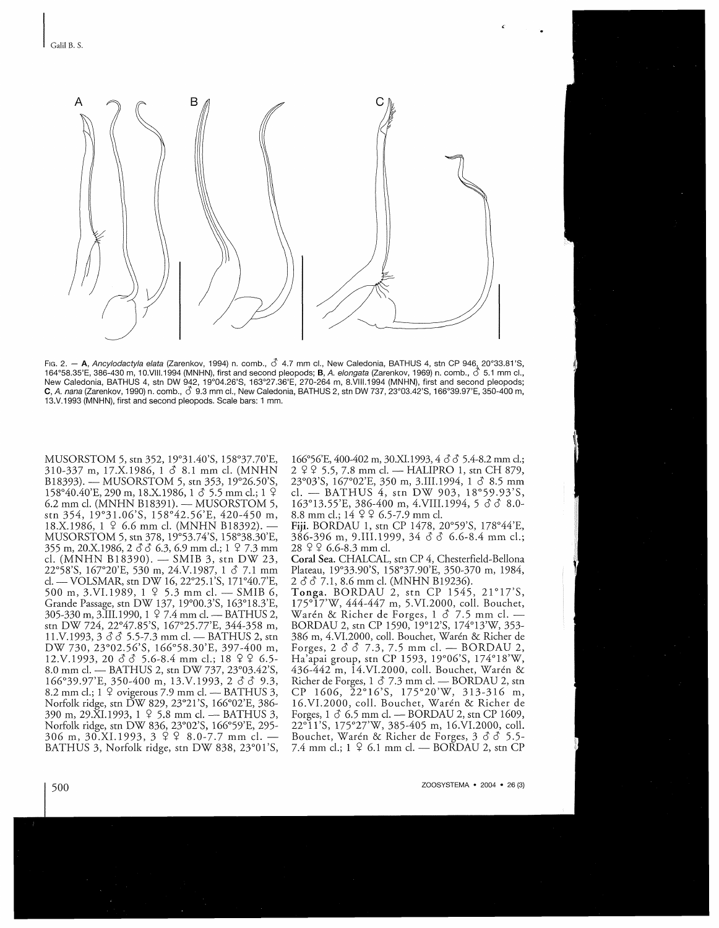

Fig. 2.  $-$  A, Ancylodactyla elata (Zarenkov, 1994) n. comb.,  $\vec{O}$  4.7 mm cl., New Caledonia, BATHUS 4, stn CP 946, 20°33.81'S, 164°58.35'E, 386-430 m, 10.VIII.1994 (MNHN), first and second pleopods; B, A. elongata (Zarenkov, 1969) n. comb.,  $\hat{O}$  5.1 mm cl., New Caledonia, BATHUS 4, stn DW 942, 19°04.26'S, 163°27.36'E, 270-264 m, 8.VIII.1994 (MNHN), first and second pleopods; C, A. nana (Zarenkov, 1990) n. comb., 6 9.3 mm cl., New Caledonia, BATHUS 2, stn DW 737, 23°03.42'S, 166°39.97'E, 350-400 m, 13.V.1993 (MNHN), first and second pleopods. Scale bars: 1 mm.

MUSORSTOM 5, stn 352, 19°31.40'S, 158°37.70'E, 310-337 m, 17.X.1986, 1 *6* 8.1 mm cl. (MNHN B18393). — MUSORSTOM 5, stn 353, 19°26.50'S, 158°40.40'E, 290 m, 18.X.1986, 1 *6* 5.5 mm cl.; 1 9 6.2 mm cl. (MNHN B18391). — MUSORSTOM 5, stn 354, 19°31.06'S, 158°42.56'E, 420-450 m, 18.X.1986, 1 9 *6.6* mm cl. (MNHN B18392). — MUSORSTOM 5, stn 378, 19°53.74'S, 158°38.30'E, 355 m, 20.X. 1986, 2 *6 6 63,* 6.9 mm cl.; 1 9 7.3 mm cl. (MNHN B18390). — SMIB 3, stn DW 23, 22°58'S, 167°20'E, 530 m, 24.V.1987, 1 & 7.1 mm cl. — VOLSMAR, stn DW 16, 22°25.1'S, 171°40.7'E, 500 m, 3.VI.1989, 1 9 5.3 mm cl. — SMIB 6, Grande Passage, stn DW 137, 19°00.3'S, 163°18.3'E, 305-330 m, 3.III.1990, 1 9 *7A* mm cl. — BATHUS 2, stn DW 724, 22°47.85'S, 167°25.77'E, 344-358 m, 11.V.1993, 3  $\delta$   $\delta$  5.5-7.3 mm cl. — BATHUS 2, stn DW 730, 23°02.56'S, 166°58.30'E, 397-400 m, 12.V.1993, 20  $\delta$   $\delta$  5.6-8.4 mm cl.; 18  $\Omega$   $\Omega$  6.5-8.0 mm cl. — BATHUS 2, stn DW 737, 23°03.42'S, 166°39.97'E, 350-400 m, 13.V.1993, *2 66* 9.3, 8.2 mm cl.;  $1 \nvert 2$  ovigerous 7.9 mm cl. - BATHUS 3, Norfolk ridge, stn DW 829, 23°21'S, 166°02'E, 386- 390 m, 29.XI.1993, 1 9 5.8 mm cl. — BATHUS 3, Norfolk ridge, stn DW 836, 23°02'S, 166°59'E, 295-  $306 \text{ m}$ ,  $30 \text{ X}11993, 399, 802, 77 \text{ mm}$  cl. — BATHUS 3, Norfolk ridge, stn DW 838, 23°01'S,

166°56'E, 400-402 m, 30.XI.1993, 4 & 6 5.4-8.2 mm cl.; 2 9 9 5.5, 7.8 mm cl. — HALIPRO 1, stn CH 879, 23°03'S, 167°02'E, 350 m, 3.III. 1994, 1 *6* 8.5 mm cl. — BATHUS 4, stn DW 903, 18°59.93'S, 163°13.55'E, 386-400 m, 4.VIII.1994, *5 66* 8.0- 8.8 mm cl.;  $14 \,$   $9 \,$   $9 \,$  6.5-7.9 mm cl.

**Fiji.** BORDAU 1, stn CP 1478, 20°59'S, 178°44'E, 386-396 m, 9.III.1999, 34 *6 6* 6.6-8.4 mm cl.; 28 9 9 6.6-8.3 mm cl.

**Coral Sea.** CHALCAL, stn CP 4, Chesterfield-Bellona Plateau, 19°33.90'S, 158°37.90'E, 350-370 m, 1984, 2 *6 6* 7.1, 8.6 mm cl. (MNHN B19236).

Tonga. BORDAU 2, stn CP 1545, 21°17'S, 175°17'W, 444-447 m, 5.VI.2000, coll. Bouchet, Waren & Richer de Forges, 1 *6* 7.5 mm cl. — BORDAU 2, stn CP 1590, 19°12'S, 174°13'W, 353- 386 m, 4.VI.2000, coll. Bouchet, Waren & Richer de Forges, *2 6 6* 7.3, 7.5 mm cl. — BORDAU 2, Ha'apai group, stn CP 1593, 19°06'S, 174°18'W, 436-442 m, 14.VI.2000, coll. Bouchet, Waren & Richer de Forges, 1 *6* 7.3 mm cl. — BORDAU 2, stn CP 1606, 22°16'S, 175°20'W, 313-316 m, 16.VI.2000, coll. Bouchet, Waren & Richer de Forges, 1 *6* 6.5 mm cl. — BORDAU 2, stn CP 1609, 22°11'S, 175°27'W, 385-405 m, 16.VI.2000, coll. Bouchet, Waren & Richer de Forges, 3 *6 6* 5.5- 7.4 mm cl.; 1 9 6.1 mm cl. — BORDAU 2, stn CP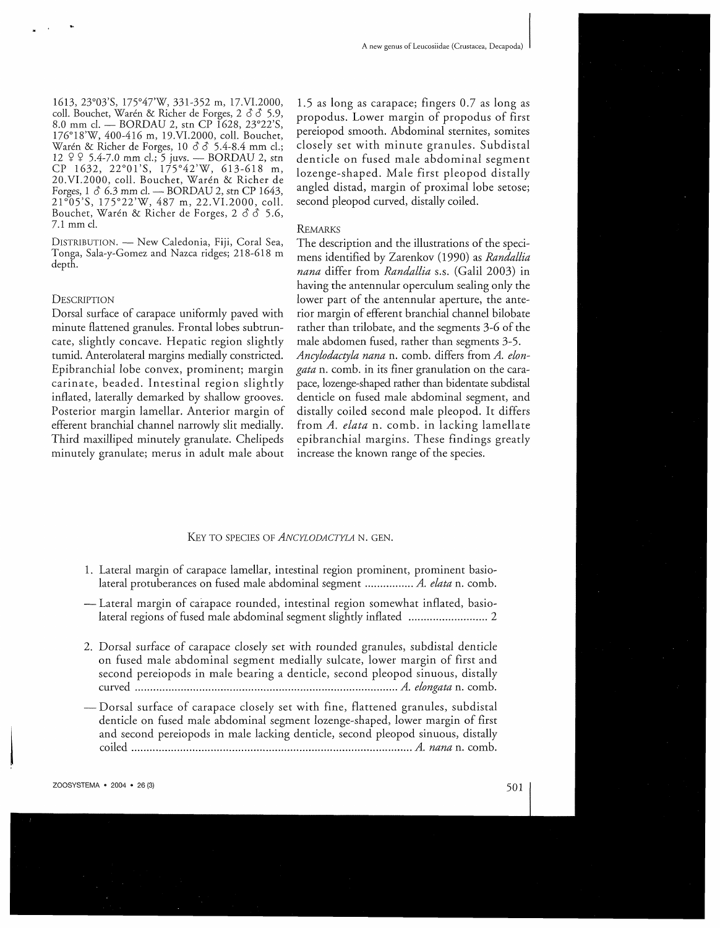1613, 23°03'S, 175°47'W, 331-352 m, 17.VI.2000, coll. Bouchet, Waren & Richer de Forges, 2 *6 S* 5.9, 8.0 mm cl. — BORDAU 2, stn CP 1628, 23°22'S, 176°18'W, 400-416 m, 19.VI.2000, coll. Bouchet, Waren & Richer de Forges, 10 *8 S* 5.4-8.4 mm cl.; 12 *9* \$ 5.4-7.0 mm cl; 5 juvs. — BORDAU 2, stn CP 1632, 22°01'S, 175°42'W, 613-618 m, 20.VI.2000, coll. Bouchet, Waren & Richer de Forges, 1 *6 63* mm cl. — BORDAU 2, stn CP 1643, 21°05'S, 175°22'W, 487 m, 22.VI.2000, coll. Bouchet, Warén & Richer de Forges, 2 & 6 5.6, 7.1 mm cl.

DISTRIBUTION. — New Caledonia, Fiji, Coral Sea, Tonga, Sala-y-Gomez and Nazca ridges; 218-618 m depth.

## **DESCRIPTION**

Dorsal surface of carapace uniformly paved with minute flattened granules. Frontal lobes subtruncate, slightly concave. Hepatic region slightly tumid. Anterolateral margins medially constricted. Epibranchial lobe convex, prominent; margin carinate, beaded. Intestinal region slightly inflated, laterally demarked by shallow grooves. Posterior margin lamellar. Anterior margin of efferent branchial channel narrowly slit medially. Third maxilliped minutely granulate. Chelipeds minutely granulate; merus in adult male about

1.5 as long as carapace; fingers 0.7 as long as propodus. Lower margin of propodus of first pereiopod smooth. Abdominal sternites, somites closely set with minute granules. Subdistal denticle on fused male abdominal segment lozenge-shaped. Male first pleopod distally angled distad, margin of proximal lobe setose; second pleopod curved, distally coiled.

#### REMARKS

The description and the illustrations of the specimens identified by Zarenkov (1990) as *Randallia nana* differ from *Randallia* s.s. (Galil 2003) in having the antennular operculum sealing only the lower part of the antennular aperture, the anterior margin of efferent branchial channel bilobate rather than trilobate, and the segments 3-6 of the male abdomen fused, rather than segments 3-5. *Ancylodactyla nana* n. comb, differs from *A. elongata* n. comb, in its finer granulation on the carapace, lozenge-shaped rather than bidentate subdistal denticle on fused male abdominal segment, and distally coiled second male pleopod. It differs from *A. elata* n. comb, in lacking lamellate epibranchial margins. These findings greatly increase the known range of the species.

#### KEY TO SPECIES OF *ANCYLODACTYLA* N. GEN.

- 1. Lateral margin of carapace lamellar, intestinal region prominent, prominent basiolateral protuberances on fused male abdominal segment ................ A. elata n. comb.
- Lateral margin of carapace rounded, intestinal region somewhat inflated, basiolateral regions of fused male abdominal segment slightly inflated 2
- 2. Dorsal surface of carapace closely set with rounded granules, subdistal denticle on fused male abdominal segment medially sulcate, lower margin of first and second pereiopods in male bearing a denticle, second pleopod sinuous, distally curved *A. elongata* n. comb.
- Dorsal surface of carapace closely set with fine, flattened granules, subdistal denticle on fused male abdominal segment lozenge-shaped, lower margin of first and second pereiopods in male lacking denticle, second pleopod sinuous, distally coiled *A. nana* n. comb.